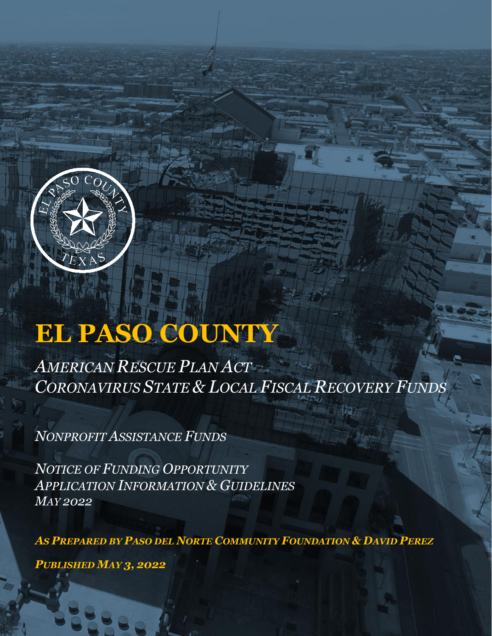

# **EL PASO COUNTY**

*AMERICAN RESCUE PLAN ACT CORONAVIRUS STATE & LOCAL FISCAL RECOVERY FUNDS*

*NONPROFIT ASSISTANCE FUNDS*

*NOTICE OF FUNDING OPPORTUNITY APPLICATION INFORMATION & GUIDELINES MAY 2022*

*AS PREPARED BY PASO DEL NORTE COMMUNITY FOUNDATION & DAVID PEREZ*

*PUBLISHED MAY 3, 2022*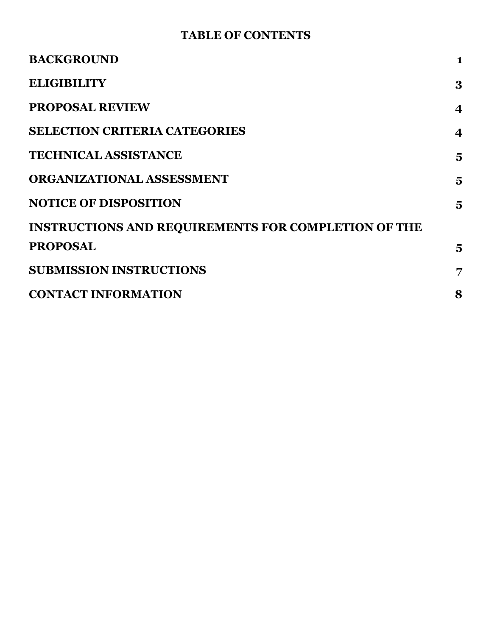#### **TABLE OF CONTENTS**

| <b>BACKGROUND</b>                                          | $\mathbf{1}$            |
|------------------------------------------------------------|-------------------------|
| <b>ELIGIBILITY</b>                                         | 3                       |
| <b>PROPOSAL REVIEW</b>                                     | 4                       |
| <b>SELECTION CRITERIA CATEGORIES</b>                       | 4                       |
| <b>TECHNICAL ASSISTANCE</b>                                | $\overline{\mathbf{5}}$ |
| ORGANIZATIONAL ASSESSMENT                                  | $\overline{\mathbf{5}}$ |
| <b>NOTICE OF DISPOSITION</b>                               | $\overline{\mathbf{5}}$ |
| <b>INSTRUCTIONS AND REQUIREMENTS FOR COMPLETION OF THE</b> |                         |
| <b>PROPOSAL</b>                                            | $\overline{\mathbf{5}}$ |
| <b>SUBMISSION INSTRUCTIONS</b>                             | 7                       |
| <b>CONTACT INFORMATION</b>                                 | 8                       |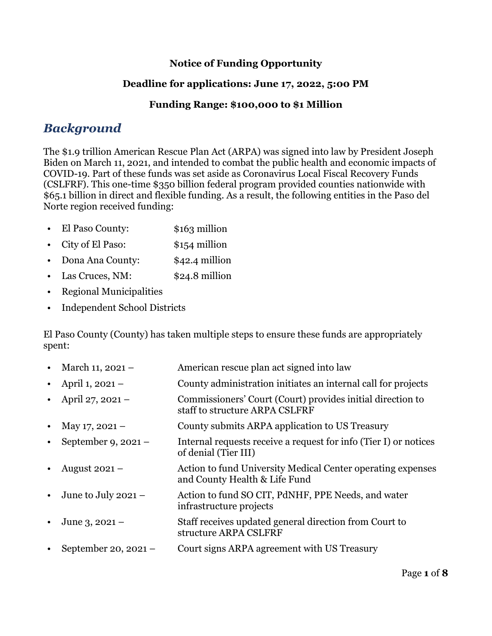#### **Notice of Funding Opportunity**

#### **Deadline for applications: June 17, 2022, 5:00 PM**

#### **Funding Range: \$100,000 to \$1 Million**

## <span id="page-2-0"></span>*Background*

The \$1.9 trillion American Rescue Plan Act (ARPA) was signed into law by President Joseph Biden on March 11, 2021, and intended to combat the public health and economic impacts of COVID-19. Part of these funds was set aside as Coronavirus Local Fiscal Recovery Funds (CSLFRF). This one-time \$350 billion federal program provided counties nationwide with \$65.1 billion in direct and flexible funding. As a result, the following entities in the Paso del Norte region received funding:

- El Paso County: \$163 million
- City of El Paso: \$154 million
- Dona Ana County: \$42.4 million
- Las Cruces, NM:  $$24.8$  million
- Regional Municipalities
- Independent School Districts

El Paso County (County) has taken multiple steps to ensure these funds are appropriately spent:

|           | March 11, 2021 -      | American rescue plan act signed into law                                                     |
|-----------|-----------------------|----------------------------------------------------------------------------------------------|
|           | April 1, 2021 –       | County administration initiates an internal call for projects                                |
|           | April 27, 2021 –      | Commissioners' Court (Court) provides initial direction to<br>staff to structure ARPA CSLFRF |
|           | May 17, $2021 -$      | County submits ARPA application to US Treasury                                               |
|           | September 9, $2021 -$ | Internal requests receive a request for info (Tier I) or notices<br>of denial (Tier III)     |
|           | August $2021 -$       | Action to fund University Medical Center operating expenses<br>and County Health & Life Fund |
| $\bullet$ | June to July 2021 $-$ | Action to fund SO CIT, PdNHF, PPE Needs, and water<br>infrastructure projects                |
|           | June 3, $2021 -$      | Staff receives updated general direction from Court to<br>structure ARPA CSLFRF              |
|           | September 20, 2021 –  | Court signs ARPA agreement with US Treasury                                                  |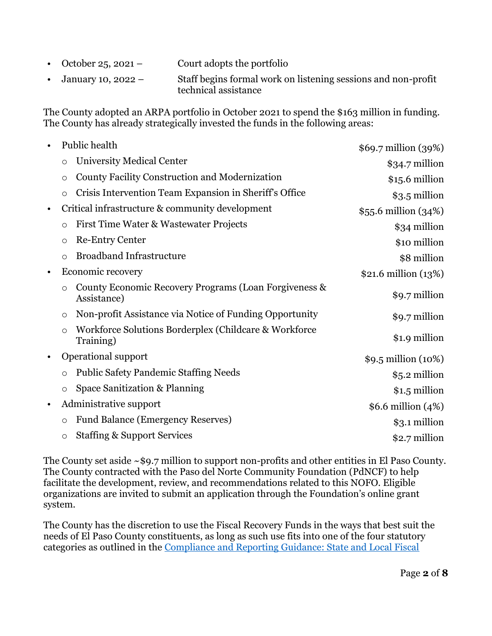- October 25, 2021 Court adopts the portfolio
- January 10, 2022 Staff begins formal work on listening sessions and non-profit technical assistance

The County adopted an ARPA portfolio in October 2021 to spend the \$163 million in funding. The County has already strategically invested the funds in the following areas:

| $\bullet$ | Public health                                                                   | \$69.7 million (39%)    |
|-----------|---------------------------------------------------------------------------------|-------------------------|
|           | <b>University Medical Center</b><br>$\circ$                                     | \$34.7 million          |
|           | County Facility Construction and Modernization<br>O                             | $$15.6$ million         |
|           | Crisis Intervention Team Expansion in Sheriff's Office<br>$\circ$               | $$3.5$ million          |
| $\bullet$ | Critical infrastructure & community development                                 | $$55.6$ million $(34%)$ |
|           | First Time Water & Wastewater Projects<br>$\circ$                               | \$34 million            |
|           | <b>Re-Entry Center</b><br>$\circ$                                               | \$10 million            |
|           | <b>Broadband Infrastructure</b><br>$\circ$                                      | \$8 million             |
| $\bullet$ | Economic recovery                                                               | $$21.6$ million $(13%)$ |
|           | County Economic Recovery Programs (Loan Forgiveness &<br>$\circ$<br>Assistance) | \$9.7 million           |
|           | Non-profit Assistance via Notice of Funding Opportunity<br>$\circ$              | \$9.7 million           |
|           | Workforce Solutions Borderplex (Childcare & Workforce<br>$\circ$<br>Training)   | \$1.9 million           |
| $\bullet$ | Operational support                                                             | \$9.5 million (10%)     |
|           | <b>Public Safety Pandemic Staffing Needs</b><br>O                               | $$5.2$ million          |
|           | Space Sanitization & Planning<br>$\circ$                                        | $$1.5$ million          |
| $\bullet$ | Administrative support                                                          | \$6.6 million (4%)      |
|           | <b>Fund Balance (Emergency Reserves)</b><br>$\circ$                             | \$3.1 million           |
|           | <b>Staffing &amp; Support Services</b><br>$\circ$                               | \$2.7 million           |

The County set aside ~\$9.7 million to support non-profits and other entities in El Paso County. The County contracted with the Paso del Norte Community Foundation (PdNCF) to help facilitate the development, review, and recommendations related to this NOFO. Eligible organizations are invited to submit an application through the Foundation's online grant system.

The County has the discretion to use the Fiscal Recovery Funds in the ways that best suit the needs of El Paso County constituents, as long as such use fits into one of the four statutory categories as outlined in the [Compliance and Reporting Guidance: State and Local Fiscal](https://home.treasury.gov/system/files/136/SLFRF-Compliance-and-Reporting-Guidance.pdf)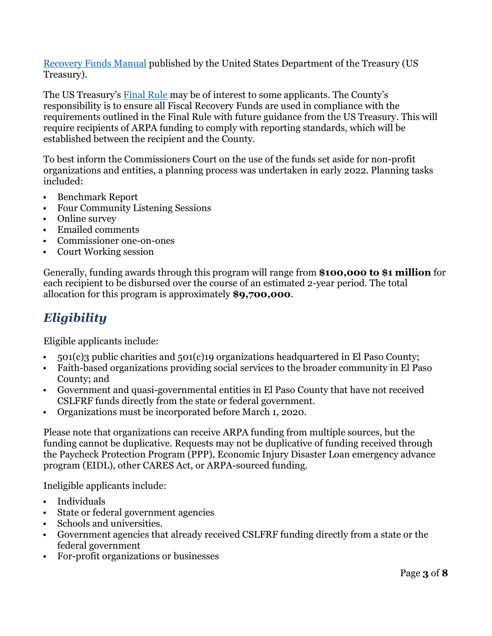[Recovery Funds Manual](https://home.treasury.gov/system/files/136/SLFRF-Compliance-and-Reporting-Guidance.pdf) published by the United States Department of the Treasury (US Treasury).

The US Treasury's [Final Rule](https://home.treasury.gov/system/files/136/SLFRF-Final-Rule.pdf) may be of interest to some applicants. The County's responsibility is to ensure all Fiscal Recovery Funds are used in compliance with the requirements outlined in the Final Rule with future guidance from the US Treasury. This will require recipients of ARPA funding to comply with reporting standards, which will be established between the recipient and the County.

To best inform the Commissioners Court on the use of the funds set aside for non-profit organizations and entities, a planning process was undertaken in early 2022. Planning tasks included:

- Benchmark Report
- Four Community Listening Sessions
- Online survey
- Emailed comments
- Commissioner one-on-ones
- Court Working session

Generally, funding awards through this program will range from **\$100,000 to \$1 million** for each recipient to be disbursed over the course of an estimated 2-year period. The total allocation for this program is approximately **\$9,700,000**.

# <span id="page-4-0"></span>*Eligibility*

Eligible applicants include:

- 501(c)3 public charities and 501(c)19 organizations headquartered in El Paso County;
- Faith-based organizations providing social services to the broader community in El Paso County; and
- Government and quasi-governmental entities in El Paso County that have not received CSLFRF funds directly from the state or federal government.
- Organizations must be incorporated before March 1, 2020.

Please note that organizations can receive ARPA funding from multiple sources, but the funding cannot be duplicative. Requests may not be duplicative of funding received through the Paycheck Protection Program (PPP), Economic Injury Disaster Loan emergency advance program (EIDL), other CARES Act, or ARPA-sourced funding.

Ineligible applicants include:

- Individuals
- State or federal government agencies
- Schools and universities.
- Government agencies that already received CSLFRF funding directly from a state or the federal government
- For-profit organizations or businesses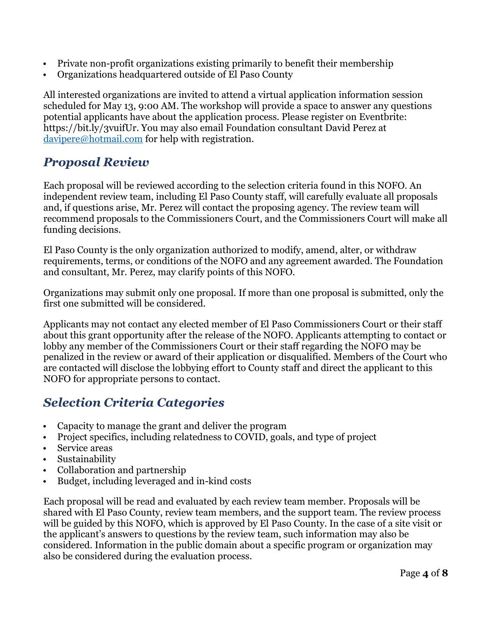- Private non-profit organizations existing primarily to benefit their membership
- Organizations headquartered outside of El Paso County

All interested organizations are invited to attend a virtual application information session scheduled for May 13, 9:00 AM. The workshop will provide a space to answer any questions potential applicants have about the application process. Please register on Eventbrite: https://bit.ly/3vuifUr. You may also email Foundation consultant David Perez at [davipere@hotmail.com](mailto:davipere@hotmail.com) for help with registration.

## <span id="page-5-0"></span>*Proposal Review*

Each proposal will be reviewed according to the selection criteria found in this NOFO. An independent review team, including El Paso County staff, will carefully evaluate all proposals and, if questions arise, Mr. Perez will contact the proposing agency. The review team will recommend proposals to the Commissioners Court, and the Commissioners Court will make all funding decisions.

El Paso County is the only organization authorized to modify, amend, alter, or withdraw requirements, terms, or conditions of the NOFO and any agreement awarded. The Foundation and consultant, Mr. Perez, may clarify points of this NOFO.

Organizations may submit only one proposal. If more than one proposal is submitted, only the first one submitted will be considered.

Applicants may not contact any elected member of El Paso Commissioners Court or their staff about this grant opportunity after the release of the NOFO. Applicants attempting to contact or lobby any member of the Commissioners Court or their staff regarding the NOFO may be penalized in the review or award of their application or disqualified. Members of the Court who are contacted will disclose the lobbying effort to County staff and direct the applicant to this NOFO for appropriate persons to contact.

## <span id="page-5-1"></span>*Selection Criteria Categories*

- Capacity to manage the grant and deliver the program
- Project specifics, including relatedness to COVID, goals, and type of project
- Service areas
- **Sustainability**
- Collaboration and partnership
- Budget, including leveraged and in-kind costs

Each proposal will be read and evaluated by each review team member. Proposals will be shared with El Paso County, review team members, and the support team. The review process will be guided by this NOFO, which is approved by El Paso County. In the case of a site visit or the applicant's answers to questions by the review team, such information may also be considered. Information in the public domain about a specific program or organization may also be considered during the evaluation process.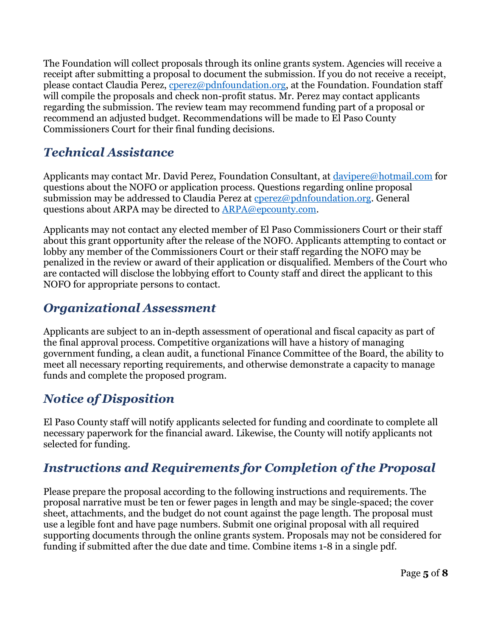The Foundation will collect proposals through its online grants system. Agencies will receive a receipt after submitting a proposal to document the submission. If you do not receive a receipt, please contact Claudia Perez, [cperez@pdnfoundation.org,](mailto:cperez@pdnfoundation.org) at the Foundation. Foundation staff will compile the proposals and check non-profit status. Mr. Perez may contact applicants regarding the submission. The review team may recommend funding part of a proposal or recommend an adjusted budget. Recommendations will be made to El Paso County Commissioners Court for their final funding decisions.

## <span id="page-6-0"></span>*Technical Assistance*

Applicants may contact Mr. David Perez, Foundation Consultant, at *davipere@hotmail.com* for questions about the NOFO or application process. Questions regarding online proposal submission may be addressed to Claudia Perez at [cperez@pdnfoundation.org.](mailto:cperez@pdnfoundation.org) General questions about ARPA may be directed to [ARPA@epcounty.com.](mailto:ARPA@epcounty.com)

Applicants may not contact any elected member of El Paso Commissioners Court or their staff about this grant opportunity after the release of the NOFO. Applicants attempting to contact or lobby any member of the Commissioners Court or their staff regarding the NOFO may be penalized in the review or award of their application or disqualified. Members of the Court who are contacted will disclose the lobbying effort to County staff and direct the applicant to this NOFO for appropriate persons to contact.

## <span id="page-6-1"></span>*Organizational Assessment*

Applicants are subject to an in-depth assessment of operational and fiscal capacity as part of the final approval process. Competitive organizations will have a history of managing government funding, a clean audit, a functional Finance Committee of the Board, the ability to meet all necessary reporting requirements, and otherwise demonstrate a capacity to manage funds and complete the proposed program.

# <span id="page-6-2"></span>*Notice of Disposition*

El Paso County staff will notify applicants selected for funding and coordinate to complete all necessary paperwork for the financial award. Likewise, the County will notify applicants not selected for funding.

# <span id="page-6-3"></span>*Instructions and Requirements for Completion of the Proposal*

Please prepare the proposal according to the following instructions and requirements. The proposal narrative must be ten or fewer pages in length and may be single-spaced; the cover sheet, attachments, and the budget do not count against the page length. The proposal must use a legible font and have page numbers. Submit one original proposal with all required supporting documents through the online grants system. Proposals may not be considered for funding if submitted after the due date and time. Combine items 1-8 in a single pdf.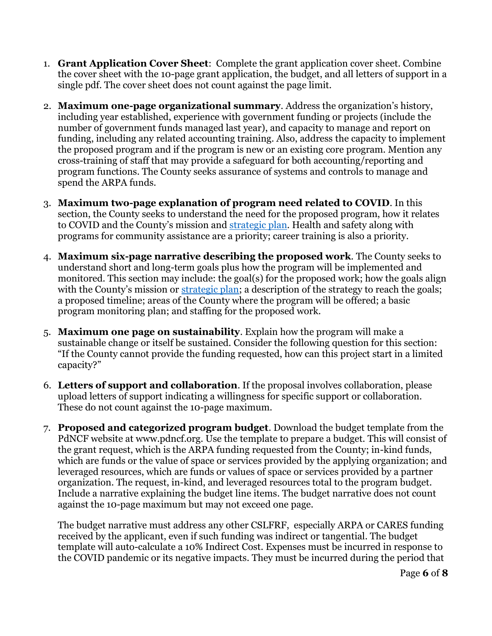- 1. **Grant Application Cover Sheet**: Complete the grant application cover sheet. Combine the cover sheet with the 10-page grant application, the budget, and all letters of support in a single pdf. The cover sheet does not count against the page limit.
- 2. **Maximum one-page organizational summary**. Address the organization's history, including year established, experience with government funding or projects (include the number of government funds managed last year), and capacity to manage and report on funding, including any related accounting training. Also, address the capacity to implement the proposed program and if the program is new or an existing core program. Mention any cross-training of staff that may provide a safeguard for both accounting/reporting and program functions. The County seeks assurance of systems and controls to manage and spend the ARPA funds.
- 3. **Maximum two-page explanation of program need related to COVID**. In this section, the County seeks to understand the need for the proposed program, how it relates to COVID and the County's mission and [strategic plan.](https://performance.envisio.com/dashboard/elpaso20191073) Health and safety along with programs for community assistance are a priority; career training is also a priority.
- 4. **Maximum six-page narrative describing the proposed work**. The County seeks to understand short and long-term goals plus how the program will be implemented and monitored. This section may include: the goal(s) for the proposed work; how the goals align with the County's mission or [strategic plan;](https://performance.envisio.com/dashboard/elpaso20191073) a description of the strategy to reach the goals; a proposed timeline; areas of the County where the program will be offered; a basic program monitoring plan; and staffing for the proposed work.
- 5. **Maximum one page on sustainability**. Explain how the program will make a sustainable change or itself be sustained. Consider the following question for this section: "If the County cannot provide the funding requested, how can this project start in a limited capacity?"
- 6. **Letters of support and collaboration**. If the proposal involves collaboration, please upload letters of support indicating a willingness for specific support or collaboration. These do not count against the 10-page maximum.
- 7. **Proposed and categorized program budget**. Download the budget template from the PdNCF website at www.pdncf.org. Use the template to prepare a budget. This will consist of the grant request, which is the ARPA funding requested from the County; in-kind funds, which are funds or the value of space or services provided by the applying organization; and leveraged resources, which are funds or values of space or services provided by a partner organization. The request, in-kind, and leveraged resources total to the program budget. Include a narrative explaining the budget line items. The budget narrative does not count against the 10-page maximum but may not exceed one page.

The budget narrative must address any other CSLFRF, especially ARPA or CARES funding received by the applicant, even if such funding was indirect or tangential. The budget template will auto-calculate a 10% Indirect Cost. Expenses must be incurred in response to the COVID pandemic or its negative impacts. They must be incurred during the period that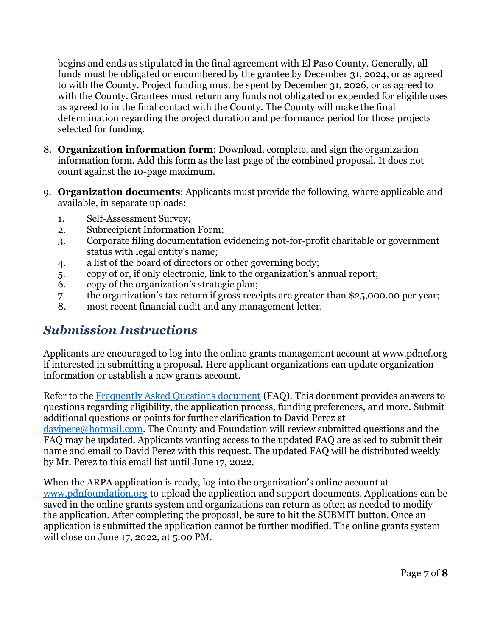begins and ends as stipulated in the final agreement with El Paso County. Generally, all funds must be obligated or encumbered by the grantee by December 31, 2024, or as agreed to with the County. Project funding must be spent by December 31, 2026, or as agreed to with the County. Grantees must return any funds not obligated or expended for eligible uses as agreed to in the final contact with the County. The County will make the final determination regarding the project duration and performance period for those projects selected for funding.

- 8. **Organization information form**: Download, complete, and sign the organization information form. Add this form as the last page of the combined proposal. It does not count against the 10-page maximum.
- 9. **Organization documents**: Applicants must provide the following, where applicable and available, in separate uploads:
	- 1. Self-Assessment Survey;
	- 2. Subrecipient Information Form;
	- 3. Corporate filing documentation evidencing not-for-profit charitable or government status with legal entity's name;
	- 4. a list of the board of directors or other governing body;
	- 5. copy of or, if only electronic, link to the organization's annual report;
	- 6. copy of the organization's strategic plan;
	- 7. the organization's tax return if gross receipts are greater than \$25,000.00 per year;
	- 8. most recent financial audit and any management letter.

## <span id="page-8-0"></span>*Submission Instructions*

Applicants are encouraged to log into the online grants management account at www.pdncf.org if interested in submitting a proposal. Here applicant organizations can update organization information or establish a new grants account.

Refer to the [Frequently Asked Questions document](https://docs.google.com/document/d/1BEBvEgJJCCoLaNK9PVJB_Fx7ESb0SYb1/edit?usp=sharing&ouid=116591831585384549873&rtpof=true&sd=true) (FAQ). This document provides answers to questions regarding eligibility, the application process, funding preferences, and more. Submit additional questions or points for further clarification to David Perez at [davipere@hotmail.com.](mailto:davipere@hotmail.com) The County and Foundation will review submitted questions and the FAQ may be updated. Applicants wanting access to the updated FAQ are asked to submit their name and email to David Perez with this request. The updated FAQ will be distributed weekly by Mr. Perez to this email list until June 17, 2022.

When the ARPA application is ready, log into the organization's online account at [www.pdnfoundation.org](http://www.pdnfoundation.org/) to upload the application and support documents. Applications can be saved in the online grants system and organizations can return as often as needed to modify the application. After completing the proposal, be sure to hit the SUBMIT button. Once an application is submitted the application cannot be further modified. The online grants system will close on June 17, 2022, at 5:00 PM.